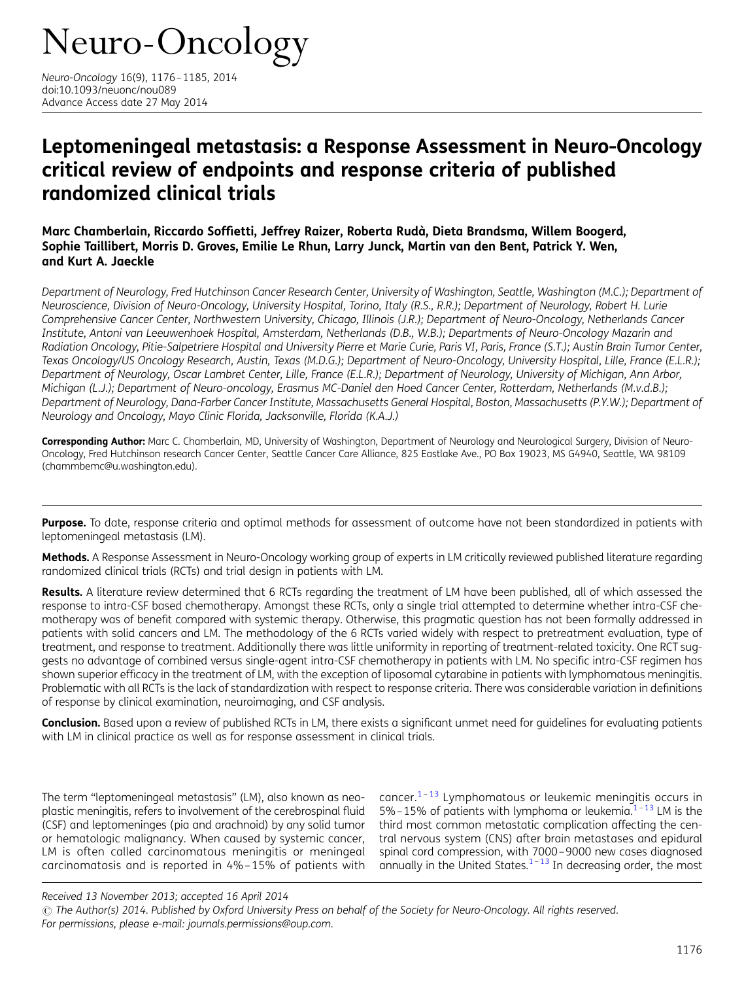

Neuro-Oncology 16(9), 1176–1185, 2014 doi:10.1093/neuonc/nou089 Advance Access date 27 May 2014

# Leptomeningeal metastasis: a Response Assessment in Neuro-Oncology critical review of endpoints and response criteria of published randomized clinical trials

Marc Chamberlain, Riccardo Soffietti, Jeffrey Raizer, Roberta Ruda`, Dieta Brandsma, Willem Boogerd, Sophie Taillibert, Morris D. Groves, Emilie Le Rhun, Larry Junck, Martin van den Bent, Patrick Y. Wen, and Kurt A. Jaeckle

Department of Neurology, Fred Hutchinson Cancer Research Center, University of Washington, Seattle, Washington (M.C.); Department of Neuroscience, Division of Neuro-Oncology, University Hospital, Torino, Italy (R.S., R.R.); Department of Neurology, Robert H. Lurie Comprehensive Cancer Center, Northwestern University, Chicago, Illinois (J.R.); Department of Neuro-Oncology, Netherlands Cancer Institute, Antoni van Leeuwenhoek Hospital, Amsterdam, Netherlands (D.B., W.B.); Departments of Neuro-Oncology Mazarin and Radiation Oncology, Pitie-Salpetriere Hospital and University Pierre et Marie Curie, Paris VI, Paris, France (S.T.); Austin Brain Tumor Center, Texas Oncology/US Oncology Research, Austin, Texas (M.D.G.); Department of Neuro-Oncology, University Hospital, Lille, France (E.L.R.); Department of Neurology, Oscar Lambret Center, Lille, France (E.L.R.); Department of Neurology, University of Michigan, Ann Arbor, Michigan (L.J.); Department of Neuro-oncology, Erasmus MC-Daniel den Hoed Cancer Center, Rotterdam, Netherlands (M.v.d.B.); Department of Neurology, Dana-Farber Cancer Institute, Massachusetts General Hospital, Boston, Massachusetts (P.Y.W.); Department of Neurology and Oncology, Mayo Clinic Florida, Jacksonville, Florida (K.A.J.)

Corresponding Author: Marc C. Chamberlain, MD, University of Washington, Department of Neurology and Neurological Surgery, Division of Neuro-Oncology, Fred Hutchinson research Cancer Center, Seattle Cancer Care Alliance, 825 Eastlake Ave., PO Box 19023, MS G4940, Seattle, WA 98109 (chammbemc@u.washington.edu).

Purpose. To date, response criteria and optimal methods for assessment of outcome have not been standardized in patients with leptomeningeal metastasis (LM).

Methods. A Response Assessment in Neuro-Oncology working group of experts in LM critically reviewed published literature regarding randomized clinical trials (RCTs) and trial design in patients with LM.

Results. A literature review determined that 6 RCTs regarding the treatment of LM have been published, all of which assessed the response to intra-CSF based chemotherapy. Amongst these RCTs, only a single trial attempted to determine whether intra-CSF chemotherapy was of benefit compared with systemic therapy. Otherwise, this pragmatic question has not been formally addressed in patients with solid cancers and LM. The methodology of the 6 RCTs varied widely with respect to pretreatment evaluation, type of treatment, and response to treatment. Additionally there was little uniformity in reporting of treatment-related toxicity. One RCT suggests no advantage of combined versus single-agent intra-CSF chemotherapy in patients with LM. No specific intra-CSF regimen has shown superior efficacy in the treatment of LM, with the exception of liposomal cytarabine in patients with lymphomatous meningitis. Problematic with all RCTs is the lack of standardization with respect to response criteria. There was considerable variation in definitions of response by clinical examination, neuroimaging, and CSF analysis.

Conclusion. Based upon a review of published RCTs in LM, there exists a significant unmet need for guidelines for evaluating patients with LM in clinical practice as well as for response assessment in clinical trials.

The term "leptomeningeal metastasis" (LM), also known as neoplastic meningitis, refers to involvement of the cerebrospinal fluid (CSF) and leptomeninges (pia and arachnoid) by any solid tumor or hematologic malignancy. When caused by systemic cancer, LM is often called carcinomatous meningitis or meningeal carcinomatosis and is reported in 4% –15% of patients with cancer. $1 - 13$  $1 - 13$  $1 - 13$  Lymphomatous or leukemic meningitis occurs in 5%–[1](#page-8-0)5% of patients with lymphoma or leukemia.<sup>1-[13](#page-8-0)</sup> LM is the third most common metastatic complication affecting the central nervous system (CNS) after brain metastases and epidural spinal cord compression, with 7000–9000 new cases diagnosed annually in the United States. $1-13$  $1-13$  In decreasing order, the most

Received 13 November 2013; accepted 16 April 2014

 $\odot$  The Author(s) 2014. Published by Oxford University Press on behalf of the Society for Neuro-Oncology. All rights reserved. For permissions, please e-mail: journals.permissions@oup.com.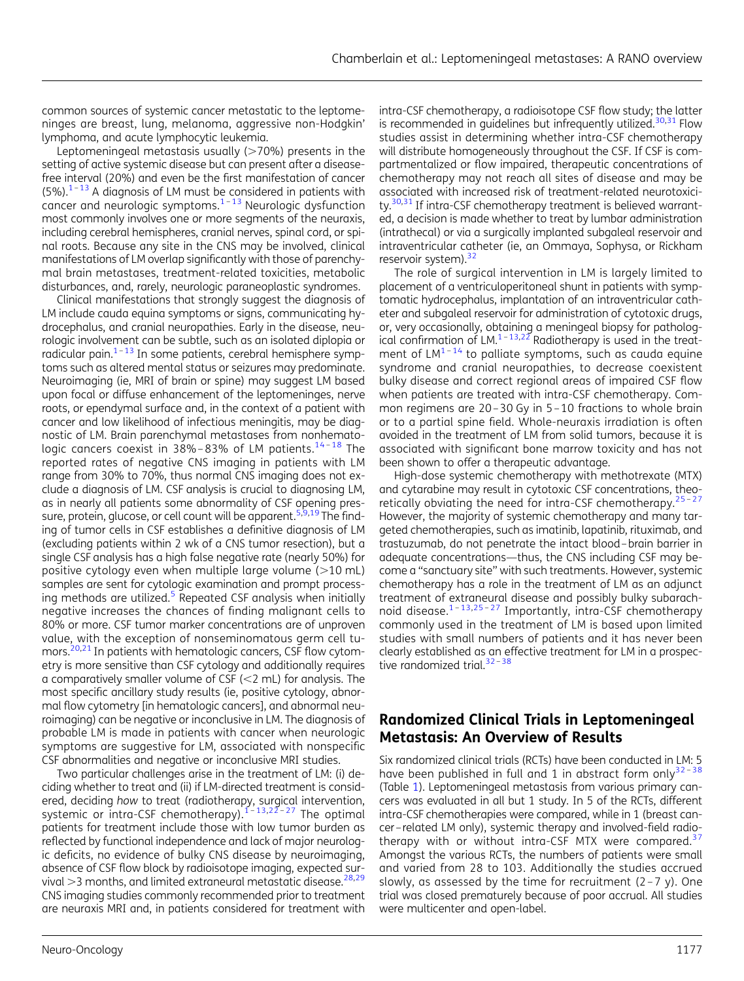common sources of systemic cancer metastatic to the leptomeninges are breast, lung, melanoma, aggressive non-Hodgkin' lymphoma, and acute lymphocytic leukemia.

Leptomeningeal metastasis usually  $(>70%)$  presents in the setting of active systemic disease but can present after a diseasefree interval (20%) and even be the first manifestation of cancer  $(5\%)$ .<sup>[1](#page-8-0)–[13](#page-8-0)</sup> A diagnosis of LM must be considered in patients with cancer and neurologic symptoms. $1 - 13$  $1 - 13$  $1 - 13$  Neurologic dysfunction most commonly involves one or more segments of the neuraxis, including cerebral hemispheres, cranial nerves, spinal cord, or spinal roots. Because any site in the CNS may be involved, clinical manifestations of LM overlap significantly with those of parenchymal brain metastases, treatment-related toxicities, metabolic disturbances, and, rarely, neurologic paraneoplastic syndromes.

Clinical manifestations that strongly suggest the diagnosis of LM include cauda equina symptoms or signs, communicating hydrocephalus, and cranial neuropathies. Early in the disease, neurologic involvement can be subtle, such as an isolated diplopia or radicular pain.<sup>1–[13](#page-8-0)</sup> In some patients, cerebral hemisphere symptoms such as altered mental status or seizures may predominate. Neuroimaging (ie, MRI of brain or spine) may suggest LM based upon focal or diffuse enhancement of the leptomeninges, nerve roots, or ependymal surface and, in the context of a patient with cancer and low likelihood of infectious meningitis, may be diagnostic of LM. Brain parenchymal metastases from nonhematologic cancers coexist in  $38\% - 83\%$  of LM patients.<sup>[14](#page-8-0)-[18](#page-8-0)</sup> The reported rates of negative CNS imaging in patients with LM range from 30% to 70%, thus normal CNS imaging does not exclude a diagnosis of LM. CSF analysis is crucial to diagnosing LM, as in nearly all patients some abnormality of CSF opening pres-sure, protein, glucose, or cell count will be apparent.<sup>[5](#page-8-0),[9,19](#page-8-0)</sup> The finding of tumor cells in CSF establishes a definitive diagnosis of LM (excluding patients within 2 wk of a CNS tumor resection), but a single CSF analysis has a high false negative rate (nearly 50%) for positive cytology even when multiple large volume  $(>10$  mL) samples are sent for cytologic examination and prompt process-ing methods are utilized.<sup>[5](#page-8-0)</sup> Repeated CSF analysis when initially negative increases the chances of finding malignant cells to 80% or more. CSF tumor marker concentrations are of unproven value, with the exception of nonseminomatous germ cell tu-mors.<sup>[20,21](#page-8-0)</sup> In patients with hematologic cancers, CSF flow cytometry is more sensitive than CSF cytology and additionally requires a comparatively smaller volume of CSF  $(<$ 2 mL) for analysis. The most specific ancillary study results (ie, positive cytology, abnormal flow cytometry [in hematologic cancers], and abnormal neuroimaging) can be negative or inconclusive in LM. The diagnosis of probable LM is made in patients with cancer when neurologic symptoms are suggestive for LM, associated with nonspecific CSF abnormalities and negative or inconclusive MRI studies.

Two particular challenges arise in the treatment of LM: (i) deciding whether to treat and (ii) if LM-directed treatment is considered, deciding how to treat (radiotherapy, surgical intervention, systemic or intra-CSF chemotherapy).<sup>[1](#page-8-0)-[13,22](#page-8-0)-[27](#page-8-0)</sup> The optimal patients for treatment include those with low tumor burden as reflected by functional independence and lack of major neurologic deficits, no evidence of bulky CNS disease by neuroimaging, absence of CSF flow block by radioisotope imaging, expected survival  $>$ 3 months, and limited extraneural metastatic disease.<sup>28,[29](#page-8-0)</sup> CNS imaging studies commonly recommended prior to treatment are neuraxis MRI and, in patients considered for treatment with

intra-CSF chemotherapy, a radioisotope CSF flow study; the latter is recommended in guidelines but infrequently utilized. $30,31$  Flow studies assist in determining whether intra-CSF chemotherapy will distribute homogeneously throughout the CSF. If CSF is compartmentalized or flow impaired, therapeutic concentrations of chemotherapy may not reach all sites of disease and may be associated with increased risk of treatment-related neurotoxici-ty.<sup>[30](#page-8-0),[31](#page-8-0)</sup> If intra-CSF chemotherapy treatment is believed warranted, a decision is made whether to treat by lumbar administration (intrathecal) or via a surgically implanted subgaleal reservoir and intraventricular catheter (ie, an Ommaya, Sophysa, or Rickham reservoir system).<sup>[32](#page-8-0)</sup>

The role of surgical intervention in LM is largely limited to placement of a ventriculoperitoneal shunt in patients with symptomatic hydrocephalus, implantation of an intraventricular catheter and subgaleal reservoir for administration of cytotoxic drugs, or, very occasionally, obtaining a meningeal biopsy for pathological confirmation of  $LM.1-13,22$  $LM.1-13,22$  $LM.1-13,22$  $LM.1-13,22$  $LM.1-13,22$  $LM.1-13,22$  Radiotherapy is used in the treatment of  $LM^{1-14}$  $LM^{1-14}$  $LM^{1-14}$  $LM^{1-14}$  $LM^{1-14}$  to palliate symptoms, such as cauda equine syndrome and cranial neuropathies, to decrease coexistent bulky disease and correct regional areas of impaired CSF flow when patients are treated with intra-CSF chemotherapy. Common regimens are 20 – 30 Gy in 5 –10 fractions to whole brain or to a partial spine field. Whole-neuraxis irradiation is often avoided in the treatment of LM from solid tumors, because it is associated with significant bone marrow toxicity and has not been shown to offer a therapeutic advantage.

High-dose systemic chemotherapy with methotrexate (MTX) and cytarabine may result in cytotoxic CSF concentrations, theo-retically obviating the need for intra-CSF chemotherapy.<sup>[25](#page-8-0)-[27](#page-8-0)</sup> However, the majority of systemic chemotherapy and many targeted chemotherapies, such as imatinib, lapatinib, rituximab, and trastuzumab, do not penetrate the intact blood –brain barrier in adequate concentrations—thus, the CNS including CSF may become a "sanctuary site" with such treatments. However, systemic chemotherapy has a role in the treatment of LM as an adjunct treatment of extraneural disease and possibly bulky subarachnoid disease. $1 - 13,25 - 27$  $1 - 13,25 - 27$  $1 - 13,25 - 27$  $1 - 13,25 - 27$  $1 - 13,25 - 27$  $1 - 13,25 - 27$  $1 - 13,25 - 27$  Importantly, intra-CSF chemotherapy commonly used in the treatment of LM is based upon limited studies with small numbers of patients and it has never been clearly established as an effective treatment for LM in a prospective randomized trial. $32-38$  $32-38$  $32-38$ 

#### Randomized Clinical Trials in Leptomeningeal Metastasis: An Overview of Results

Six randomized clinical trials (RCTs) have been conducted in LM: 5 have been published in full and 1 in abstract form only<sup>[32](#page-8-0)-</sup> (Table [1](#page-2-0)). Leptomeningeal metastasis from various primary cancers was evaluated in all but 1 study. In 5 of the RCTs, different intra-CSF chemotherapies were compared, while in 1 (breast cancer – related LM only), systemic therapy and involved-field radio-therapy with or without intra-CSF MTX were compared.<sup>[37](#page-9-0)</sup> Amongst the various RCTs, the numbers of patients were small and varied from 28 to 103. Additionally the studies accrued slowly, as assessed by the time for recruitment  $(2 - 7 y)$ . One trial was closed prematurely because of poor accrual. All studies were multicenter and open-label.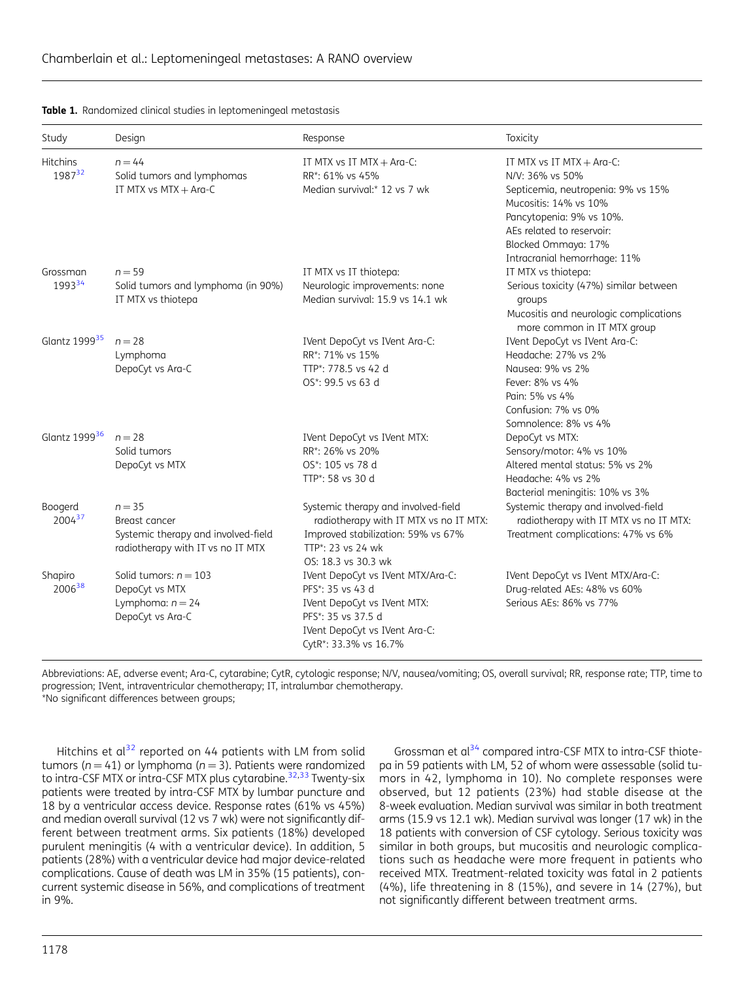| Study                          | Design                                                   | Response                                                          | Toxicity                                                              |
|--------------------------------|----------------------------------------------------------|-------------------------------------------------------------------|-----------------------------------------------------------------------|
| <b>Hitchins</b>                | $n = 44$                                                 | IT MTX vs IT MTX $+$ Ara-C:                                       | IT MTX vs IT MTX $+$ Ara-C:                                           |
| 198732                         | Solid tumors and lymphomas                               | RR*: 61% vs 45%                                                   | N/V: 36% vs 50%                                                       |
|                                | IT MTX vs $MTX + Ara-C$                                  | Median survival:* 12 vs 7 wk                                      | Septicemia, neutropenia: 9% vs 15%                                    |
|                                |                                                          |                                                                   | Mucositis: 14% vs 10%                                                 |
|                                |                                                          |                                                                   | Pancytopenia: 9% vs 10%.                                              |
|                                |                                                          |                                                                   | AEs related to reservoir:                                             |
|                                |                                                          |                                                                   | Blocked Ommaya: 17%                                                   |
|                                |                                                          |                                                                   | Intracranial hemorrhage: 11%                                          |
| Grossman<br>1993 <sup>34</sup> | $n = 59$                                                 | IT MTX vs IT thiotepa:                                            | IT MTX vs thiotepa:                                                   |
|                                | Solid tumors and lymphoma (in 90%)<br>IT MTX vs thiotepa | Neurologic improvements: none<br>Median survival: 15.9 vs 14.1 wk | Serious toxicity (47%) similar between<br>groups                      |
|                                |                                                          |                                                                   | Mucositis and neurologic complications<br>more common in IT MTX group |
| Glantz 1999 <sup>35</sup>      | $n = 28$                                                 | IVent DepoCyt vs IVent Ara-C:                                     | IVent DepoCyt vs IVent Ara-C:                                         |
|                                | Lymphoma                                                 | RR*: 71% vs 15%                                                   | Headache: 27% vs 2%                                                   |
|                                | DepoCyt vs Ara-C                                         | TTP*: 778.5 vs 42 d                                               | Nausea: 9% vs 2%                                                      |
|                                |                                                          | OS*: 99.5 vs 63 d                                                 | Fever: 8% vs 4%                                                       |
|                                |                                                          |                                                                   | Pain: 5% vs 4%                                                        |
|                                |                                                          |                                                                   | Confusion: 7% vs 0%                                                   |
|                                |                                                          |                                                                   | Somnolence: 8% vs 4%                                                  |
| Glantz 1999 <sup>36</sup>      | $n = 28$                                                 | IVent DepoCyt vs IVent MTX:                                       | DepoCyt vs MTX:                                                       |
|                                | Solid tumors                                             | RR*: 26% vs 20%                                                   | Sensory/motor: 4% vs 10%                                              |
|                                | DepoCyt vs MTX                                           | OS*: 105 vs 78 d                                                  | Altered mental status: 5% vs 2%                                       |
|                                |                                                          | TTP*: 58 vs 30 d                                                  | Headache: 4% vs 2%                                                    |
|                                |                                                          |                                                                   | Bacterial meningitis: 10% vs 3%                                       |
| Boogerd                        | $n = 35$                                                 | Systemic therapy and involved-field                               | Systemic therapy and involved-field                                   |
| 2004 <sup>37</sup>             | Breast cancer                                            | radiotherapy with IT MTX vs no IT MTX:                            | radiotherapy with IT MTX vs no IT MTX:                                |
|                                | Systemic therapy and involved-field                      | Improved stabilization: 59% vs 67%                                | Treatment complications: 47% vs 6%                                    |
|                                | radiotherapy with IT vs no IT MTX                        | TTP*: 23 vs 24 wk                                                 |                                                                       |
|                                |                                                          | OS: 18.3 vs 30.3 wk                                               |                                                                       |
| Shapiro<br>200638              | Solid tumors: $n = 103$                                  | IVent DepoCyt vs IVent MTX/Ara-C:                                 | IVent DepoCyt vs IVent MTX/Ara-C:                                     |
|                                | DepoCyt vs MTX                                           | PFS*: 35 vs 43 d                                                  | Drug-related AEs: 48% vs 60%                                          |
|                                | Lymphoma: $n = 24$                                       | IVent DepoCyt vs IVent MTX:                                       | Serious AEs: 86% vs 77%                                               |
|                                | DepoCyt vs Ara-C                                         | PFS*: 35 vs 37.5 d                                                |                                                                       |
|                                |                                                          | IVent DepoCyt vs IVent Ara-C:<br>CytR*: 33.3% vs 16.7%            |                                                                       |
|                                |                                                          |                                                                   |                                                                       |

#### <span id="page-2-0"></span>Table 1. Randomized clinical studies in leptomeningeal metastasis

Abbreviations: AE, adverse event; Ara-C, cytarabine; CytR, cytologic response; N/V, nausea/vomiting; OS, overall survival; RR, response rate; TTP, time to progression; IVent, intraventricular chemotherapy; IT, intralumbar chemotherapy. \*No significant differences between groups;

Hitchins et al<sup>[32](#page-8-0)</sup> reported on 44 patients with LM from solid tumors ( $n = 41$ ) or lymphoma ( $n = 3$ ). Patients were randomized to intra-CSF MTX or intra-CSF MTX plus cytarabine.<sup>[32,33](#page-8-0)</sup> Twenty-six patients were treated by intra-CSF MTX by lumbar puncture and 18 by a ventricular access device. Response rates (61% vs 45%) and median overall survival (12 vs 7 wk) were not significantly different between treatment arms. Six patients (18%) developed purulent meningitis (4 with a ventricular device). In addition, 5 patients (28%) with a ventricular device had major device-related complications. Cause of death was LM in 35% (15 patients), concurrent systemic disease in 56%, and complications of treatment in 9%.

Grossman et al<sup>34</sup> compared intra-CSF MTX to intra-CSF thiotepa in 59 patients with LM, 52 of whom were assessable (solid tumors in 42, lymphoma in 10). No complete responses were observed, but 12 patients (23%) had stable disease at the 8-week evaluation. Median survival was similar in both treatment arms (15.9 vs 12.1 wk). Median survival was longer (17 wk) in the 18 patients with conversion of CSF cytology. Serious toxicity was similar in both groups, but mucositis and neurologic complications such as headache were more frequent in patients who received MTX. Treatment-related toxicity was fatal in 2 patients (4%), life threatening in 8 (15%), and severe in 14 (27%), but not significantly different between treatment arms.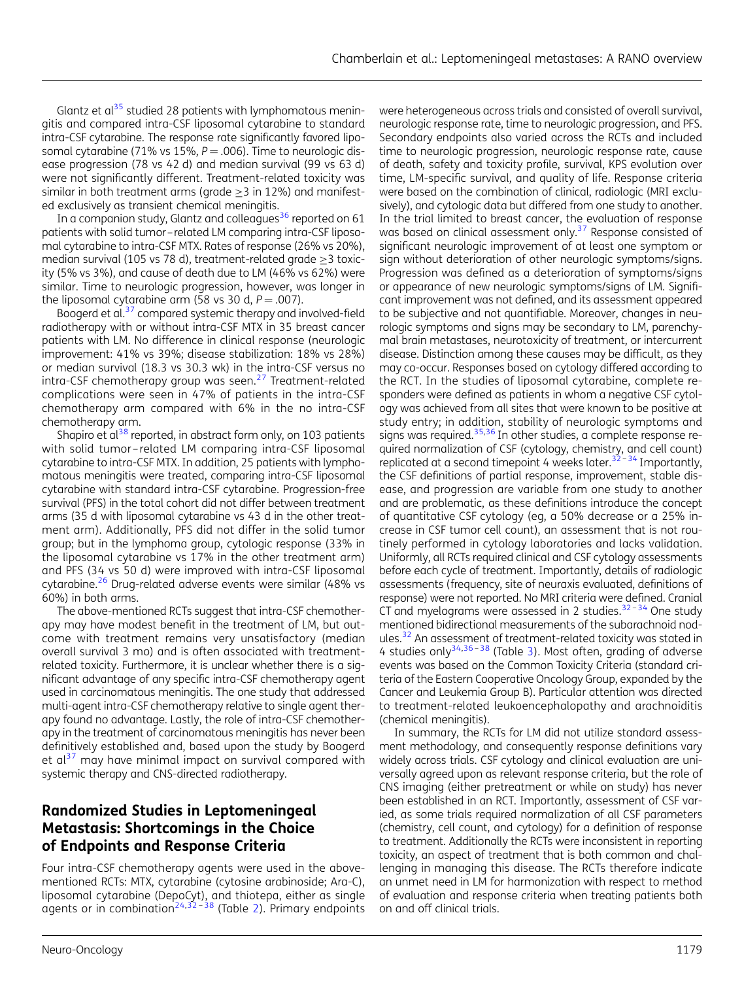Glantz et  $a^{35}$  $a^{35}$  $a^{35}$  studied 28 patients with lymphomatous meningitis and compared intra-CSF liposomal cytarabine to standard intra-CSF cytarabine. The response rate significantly favored liposomal cytarabine (71% vs 15%,  $P = .006$ ). Time to neurologic disease progression (78 vs 42 d) and median survival (99 vs 63 d) were not significantly different. Treatment-related toxicity was similar in both treatment arms (grade  $\geq$ 3 in 12%) and manifested exclusively as transient chemical meningitis.

In a companion study, Glantz and colleagues<sup>[36](#page-9-0)</sup> reported on 61 patients with solid tumor – related LM comparing intra-CSF liposomal cytarabine to intra-CSF MTX. Rates of response (26% vs 20%), median survival (105 vs 78 d), treatment-related grade ≥3 toxicity (5% vs 3%), and cause of death due to LM (46% vs 62%) were similar. Time to neurologic progression, however, was longer in the liposomal cytarabine arm (58 vs 30 d,  $P = .007$ ).

Boogerd et al.<sup>[37](#page-9-0)</sup> compared systemic therapy and involved-field radiotherapy with or without intra-CSF MTX in 35 breast cancer patients with LM. No difference in clinical response (neurologic improvement: 41% vs 39%; disease stabilization: 18% vs 28%) or median survival (18.3 vs 30.3 wk) in the intra-CSF versus no  $intra-CSF$  chemotherapy group was seen.<sup>[27](#page-8-0)</sup> Treatment-related complications were seen in 47% of patients in the intra-CSF chemotherapy arm compared with 6% in the no intra-CSF chemotherapy arm.

Shapiro et al<sup>[38](#page-9-0)</sup> reported, in abstract form only, on 103 patients with solid tumor – related LM comparing intra-CSF liposomal cytarabine to intra-CSF MTX. In addition, 25 patients with lymphomatous meningitis were treated, comparing intra-CSF liposomal cytarabine with standard intra-CSF cytarabine. Progression-free survival (PFS) in the total cohort did not differ between treatment arms (35 d with liposomal cytarabine vs 43 d in the other treatment arm). Additionally, PFS did not differ in the solid tumor group; but in the lymphoma group, cytologic response (33% in the liposomal cytarabine vs 17% in the other treatment arm) and PFS (34 vs 50 d) were improved with intra-CSF liposomal cytarabine.<sup>[26](#page-8-0)</sup> Drug-related adverse events were similar (48% vs 60%) in both arms.

The above-mentioned RCTs suggest that intra-CSF chemotherapy may have modest benefit in the treatment of LM, but outcome with treatment remains very unsatisfactory (median overall survival 3 mo) and is often associated with treatmentrelated toxicity. Furthermore, it is unclear whether there is a significant advantage of any specific intra-CSF chemotherapy agent used in carcinomatous meningitis. The one study that addressed multi-agent intra-CSF chemotherapy relative to single agent therapy found no advantage. Lastly, the role of intra-CSF chemotherapy in the treatment of carcinomatous meningitis has never been definitively established and, based upon the study by Boogerd et  $al<sup>37</sup>$  $al<sup>37</sup>$  $al<sup>37</sup>$  may have minimal impact on survival compared with systemic therapy and CNS-directed radiotherapy.

# Randomized Studies in Leptomeningeal Metastasis: Shortcomings in the Choice of Endpoints and Response Criteria

Four intra-CSF chemotherapy agents were used in the abovementioned RCTs: MTX, cytarabine (cytosine arabinoside; Ara-C), liposomal cytarabine (DepoCyt), and thiotepa, either as single agents or in combination $^{24,32-38}$  $^{24,32-38}$  $^{24,32-38}$  $^{24,32-38}$  $^{24,32-38}$  (Table [2\)](#page-4-0). Primary endpoints

were heterogeneous across trials and consisted of overall survival, neurologic response rate, time to neurologic progression, and PFS. Secondary endpoints also varied across the RCTs and included time to neurologic progression, neurologic response rate, cause of death, safety and toxicity profile, survival, KPS evolution over time, LM-specific survival, and quality of life. Response criteria were based on the combination of clinical, radiologic (MRI exclusively), and cytologic data but differed from one study to another. In the trial limited to breast cancer, the evaluation of response was based on clinical assessment only.<sup>37</sup> Response consisted of significant neurologic improvement of at least one symptom or sign without deterioration of other neurologic symptoms/signs. Progression was defined as a deterioration of symptoms/signs or appearance of new neurologic symptoms/signs of LM. Significant improvement was not defined, and its assessment appeared to be subjective and not quantifiable. Moreover, changes in neurologic symptoms and signs may be secondary to LM, parenchymal brain metastases, neurotoxicity of treatment, or intercurrent disease. Distinction among these causes may be difficult, as they may co-occur. Responses based on cytology differed according to the RCT. In the studies of liposomal cytarabine, complete responders were defined as patients in whom a negative CSF cytology was achieved from all sites that were known to be positive at study entry; in addition, stability of neurologic symptoms and signs was required.<sup>35,[36](#page-9-0)</sup> In other studies, a complete response required normalization of CSF (cytology, chemistry, and cell count) replicated at a second timepoint 4 weeks later. $32-34$  $32-34$  $32-34$  Importantly, the CSF definitions of partial response, improvement, stable disease, and progression are variable from one study to another and are problematic, as these definitions introduce the concept of quantitative CSF cytology (eg, a 50% decrease or a 25% increase in CSF tumor cell count), an assessment that is not routinely performed in cytology laboratories and lacks validation. Uniformly, all RCTs required clinical and CSF cytology assessments before each cycle of treatment. Importantly, details of radiologic assessments (frequency, site of neuraxis evaluated, definitions of response) were not reported. No MRI criteria were defined. Cranial CT and myelograms were assessed in 2 studies. $32 - 34$  $32 - 34$  One study mentioned bidirectional measurements of the subarachnoid nod-ules.<sup>[32](#page-8-0)</sup> An assessment of treatment-related toxicity was stated in 4 studies only $34,36-38$  $34,36-38$  $34,36-38$  $34,36-38$  $34,36-38$  (Table [3](#page-6-0)). Most often, grading of adverse events was based on the Common Toxicity Criteria (standard criteria of the Eastern Cooperative Oncology Group, expanded by the Cancer and Leukemia Group B). Particular attention was directed to treatment-related leukoencephalopathy and arachnoiditis (chemical meningitis).

In summary, the RCTs for LM did not utilize standard assessment methodology, and consequently response definitions vary widely across trials. CSF cytology and clinical evaluation are universally agreed upon as relevant response criteria, but the role of CNS imaging (either pretreatment or while on study) has never been established in an RCT. Importantly, assessment of CSF varied, as some trials required normalization of all CSF parameters (chemistry, cell count, and cytology) for a definition of response to treatment. Additionally the RCTs were inconsistent in reporting toxicity, an aspect of treatment that is both common and challenging in managing this disease. The RCTs therefore indicate an unmet need in LM for harmonization with respect to method of evaluation and response criteria when treating patients both on and off clinical trials.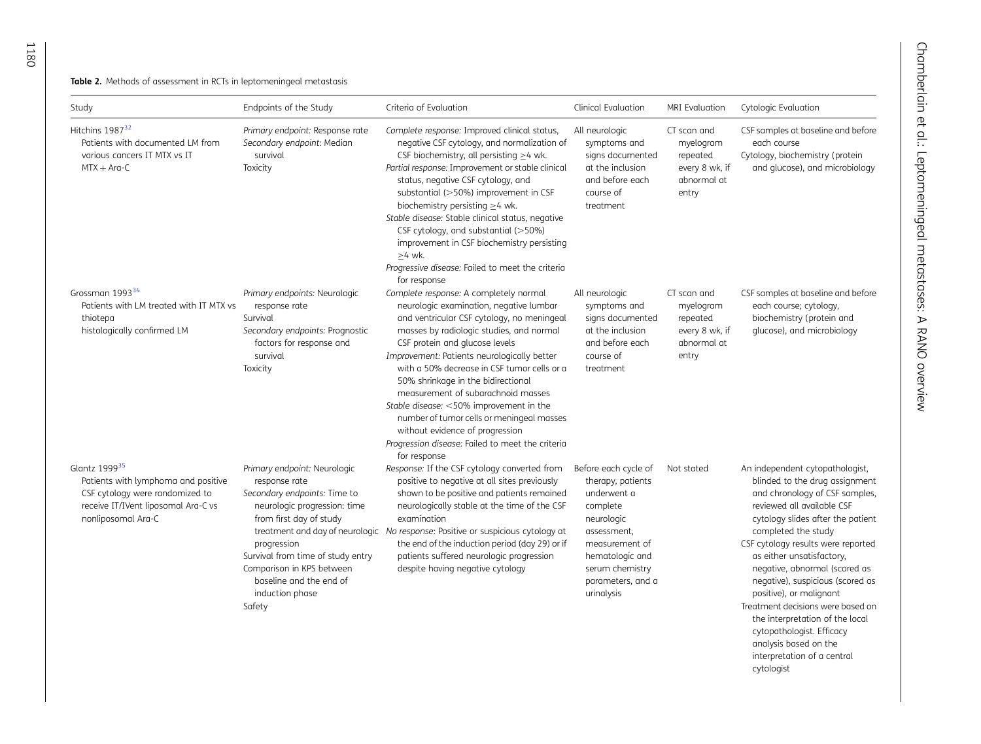#### <span id="page-4-0"></span>**Table 2.** Methods of assessment in RCTs in leptomeningeal metastasis

| Study                                                                                                                                                            | Endpoints of the Study                                                                                                                                                                                                                                                            | Criteria of Evaluation                                                                                                                                                                                                                                                                                                                                                                                                                                                                                                                                                 | Clinical Evaluation                                                                                                                                                                          | <b>MRI</b> Evaluation                                                          | <b>Cytologic Evaluation</b>                                                                                                                                                                                                                                                                                                                                                                                                                                                                                                                 |
|------------------------------------------------------------------------------------------------------------------------------------------------------------------|-----------------------------------------------------------------------------------------------------------------------------------------------------------------------------------------------------------------------------------------------------------------------------------|------------------------------------------------------------------------------------------------------------------------------------------------------------------------------------------------------------------------------------------------------------------------------------------------------------------------------------------------------------------------------------------------------------------------------------------------------------------------------------------------------------------------------------------------------------------------|----------------------------------------------------------------------------------------------------------------------------------------------------------------------------------------------|--------------------------------------------------------------------------------|---------------------------------------------------------------------------------------------------------------------------------------------------------------------------------------------------------------------------------------------------------------------------------------------------------------------------------------------------------------------------------------------------------------------------------------------------------------------------------------------------------------------------------------------|
| Hitchins 1987 <sup>32</sup><br>Patients with documented LM from<br>various cancers IT MTX vs IT<br>$MTX + Ara-C$                                                 | Primary endpoint: Response rate<br>Secondary endpoint: Median<br>survival<br>Toxicity                                                                                                                                                                                             | Complete response: Improved clinical status,<br>negative CSF cytology, and normalization of<br>CSF biochemistry, all persisting $\geq$ 4 wk.<br>Partial response: Improvement or stable clinical<br>status, negative CSF cytology, and<br>substantial (>50%) improvement in CSF<br>biochemistry persisting $\geq$ 4 wk.<br>Stable disease: Stable clinical status, negative<br>CSF cytology, and substantial (>50%)<br>improvement in CSF biochemistry persisting<br>$\geq 4$ wk.<br>Progressive disease: Failed to meet the criteria<br>for response                  | All neurologic<br>symptoms and<br>signs documented<br>at the inclusion<br>and before each<br>course of<br>treatment                                                                          | CT scan and<br>myelogram<br>repeated<br>every 8 wk, if<br>abnormal at<br>entry | CSF samples at baseline and before<br>each course<br>Cytology, biochemistry (protein<br>and glucose), and microbiology                                                                                                                                                                                                                                                                                                                                                                                                                      |
| Grossman 1993 <sup>34</sup><br>Patients with LM treated with IT MTX vs<br>thiotepa<br>histologically confirmed LM                                                | Primary endpoints: Neurologic<br>response rate<br>Survival<br>Secondary endpoints: Prognostic<br>factors for response and<br>survival<br>Toxicity                                                                                                                                 | Complete response: A completely normal<br>neurologic examination, negative lumbar<br>and ventricular CSF cytology, no meningeal<br>masses by radiologic studies, and normal<br>CSF protein and glucose levels<br>Improvement: Patients neurologically better<br>with a 50% decrease in CSF tumor cells or a<br>50% shrinkage in the bidirectional<br>measurement of subarachnoid masses<br>Stable disease: <50% improvement in the<br>number of tumor cells or meningeal masses<br>without evidence of progression<br>Progression disease: Failed to meet the criteria | All neurologic<br>symptoms and<br>signs documented<br>at the inclusion<br>and before each<br>course of<br>treatment                                                                          | CT scan and<br>myelogram<br>repeated<br>every 8 wk, if<br>abnormal at<br>entry | CSF samples at baseline and before<br>each course; cytology,<br>biochemistry (protein and<br>glucose), and microbiology                                                                                                                                                                                                                                                                                                                                                                                                                     |
| Glantz 1999 <sup>35</sup><br>Patients with lymphoma and positive<br>CSF cytology were randomized to<br>receive IT/IVent liposomal Ara-C vs<br>nonliposomal Ara-C | Primary endpoint: Neurologic<br>response rate<br>Secondary endpoints: Time to<br>neurologic progression: time<br>from first day of study<br>progression<br>Survival from time of study entry<br>Comparison in KPS between<br>baseline and the end of<br>induction phase<br>Safety | for response<br>Response: If the CSF cytology converted from<br>positive to negative at all sites previously<br>shown to be positive and patients remained<br>neurologically stable at the time of the CSF<br>examination<br>treatment and day of neurologic No response: Positive or suspicious cytology at<br>the end of the induction period (day 29) or if<br>patients suffered neurologic progression<br>despite having negative cytology                                                                                                                         | Before each cycle of<br>therapy, patients<br>underwent a<br>complete<br>neurologic<br>assessment,<br>measurement of<br>hematologic and<br>serum chemistry<br>parameters, and a<br>urinalysis | Not stated                                                                     | An independent cytopathologist,<br>blinded to the drug assignment<br>and chronology of CSF samples,<br>reviewed all available CSF<br>cytology slides after the patient<br>completed the study<br>CSF cytology results were reported<br>as either unsatisfactory,<br>negative, abnormal (scored as<br>negative), suspicious (scored as<br>positive), or malignant<br>Treatment decisions were based on<br>the interpretation of the local<br>cytopathologist. Efficacy<br>analysis based on the<br>interpretation of a central<br>cytologist |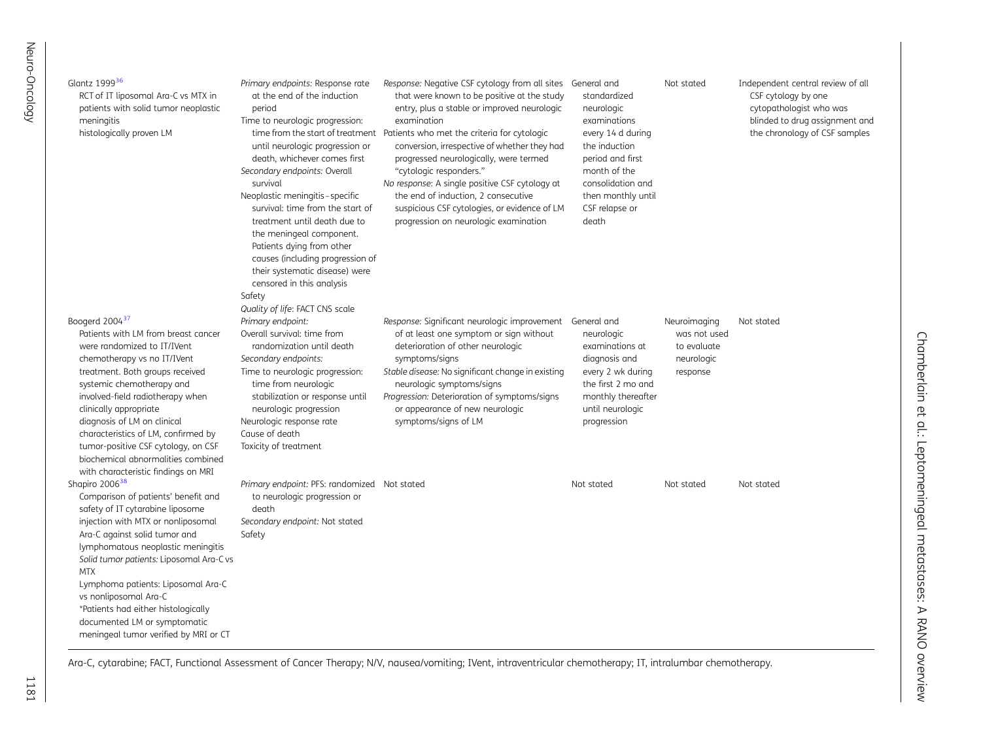| Glantz 1999 <sup>36</sup><br>RCT of IT liposomal Ara-C vs MTX in<br>patients with solid tumor neoplastic<br>meningitis<br>histologically proven LM                                                                                                                                                                                                                                                                                                          | Primary endpoints: Response rate<br>at the end of the induction<br>period<br>Time to neurologic progression:<br>time from the start of treatment<br>until neurologic progression or<br>death, whichever comes first<br>Secondary endpoints: Overall                                                                                     | Response: Negative CSF cytology from all sites<br>that were known to be positive at the study<br>entry, plus a stable or improved neurologic<br>examination<br>Patients who met the criteria for cytologic<br>conversion, irrespective of whether they had<br>progressed neurologically, were termed<br>"cytologic responders."             | General and<br>standardized<br>neurologic<br>examinations<br>every 14 d during<br>the induction<br>period and first<br>month of the                               | Not stated                                                            | Independent central review of all<br>CSF cytology by one<br>cytopathologist who was<br>blinded to drug assignment and<br>the chronology of CSF samples |  |
|-------------------------------------------------------------------------------------------------------------------------------------------------------------------------------------------------------------------------------------------------------------------------------------------------------------------------------------------------------------------------------------------------------------------------------------------------------------|-----------------------------------------------------------------------------------------------------------------------------------------------------------------------------------------------------------------------------------------------------------------------------------------------------------------------------------------|---------------------------------------------------------------------------------------------------------------------------------------------------------------------------------------------------------------------------------------------------------------------------------------------------------------------------------------------|-------------------------------------------------------------------------------------------------------------------------------------------------------------------|-----------------------------------------------------------------------|--------------------------------------------------------------------------------------------------------------------------------------------------------|--|
|                                                                                                                                                                                                                                                                                                                                                                                                                                                             | survival<br>Neoplastic meningitis-specific<br>survival: time from the start of<br>treatment until death due to<br>the meningeal component.<br>Patients dying from other<br>causes (including progression of<br>their systematic disease) were<br>censored in this analysis<br>Safety                                                    | No response: A single positive CSF cytology at<br>the end of induction, 2 consecutive<br>suspicious CSF cytologies, or evidence of LM<br>progression on neurologic examination                                                                                                                                                              | consolidation and<br>then monthly until<br>CSF relapse or<br>death                                                                                                |                                                                       |                                                                                                                                                        |  |
| Boogerd 2004 <sup>37</sup><br>Patients with LM from breast cancer<br>were randomized to IT/IVent<br>chemotherapy vs no IT/IVent<br>treatment. Both groups received<br>systemic chemotherapy and<br>involved-field radiotherapy when<br>clinically appropriate<br>diagnosis of LM on clinical<br>characteristics of LM, confirmed by<br>tumor-positive CSF cytology, on CSF<br>biochemical abnormalities combined<br>with characteristic findings on MRI     | Quality of life: FACT CNS scale<br>Primary endpoint:<br>Overall survival: time from<br>randomization until death<br>Secondary endpoints:<br>Time to neurologic progression:<br>time from neurologic<br>stabilization or response until<br>neurologic progression<br>Neurologic response rate<br>Cause of death<br>Toxicity of treatment | Response: Significant neurologic improvement<br>of at least one symptom or sign without<br>deterioration of other neurologic<br>symptoms/signs<br>Stable disease: No significant change in existing<br>neurologic symptoms/signs<br>Progression: Deterioration of symptoms/signs<br>or appearance of new neurologic<br>symptoms/signs of LM | General and<br>neurologic<br>examinations at<br>diagnosis and<br>every 2 wk during<br>the first 2 mo and<br>monthly thereafter<br>until neurologic<br>progression | Neuroimaging<br>was not used<br>to evaluate<br>neurologic<br>response | Not stated                                                                                                                                             |  |
| Shapiro 2006 <sup>38</sup><br>Comparison of patients' benefit and<br>safety of IT cytarabine liposome<br>injection with MTX or nonliposomal<br>Ara-C against solid tumor and<br>lymphomatous neoplastic meningitis<br>Solid tumor patients: Liposomal Ara-C vs<br><b>MTX</b><br>Lymphoma patients: Liposomal Ara-C<br>vs nonliposomal Ara-C<br>*Patients had either histologically<br>documented LM or symptomatic<br>meningeal tumor verified by MRI or CT | Primary endpoint: PFS: randomized Not stated<br>to neurologic progression or<br>death<br>Secondary endpoint: Not stated<br>Safety                                                                                                                                                                                                       |                                                                                                                                                                                                                                                                                                                                             | Not stated                                                                                                                                                        | Not stated                                                            | Not stated                                                                                                                                             |  |

Ara-C, cytarabine; FACT, Functional Assessment of Cancer Therapy; N/V, nausea/vomiting; IVent, intraventricular chemotherapy; IT, intralumbar chemotherapy.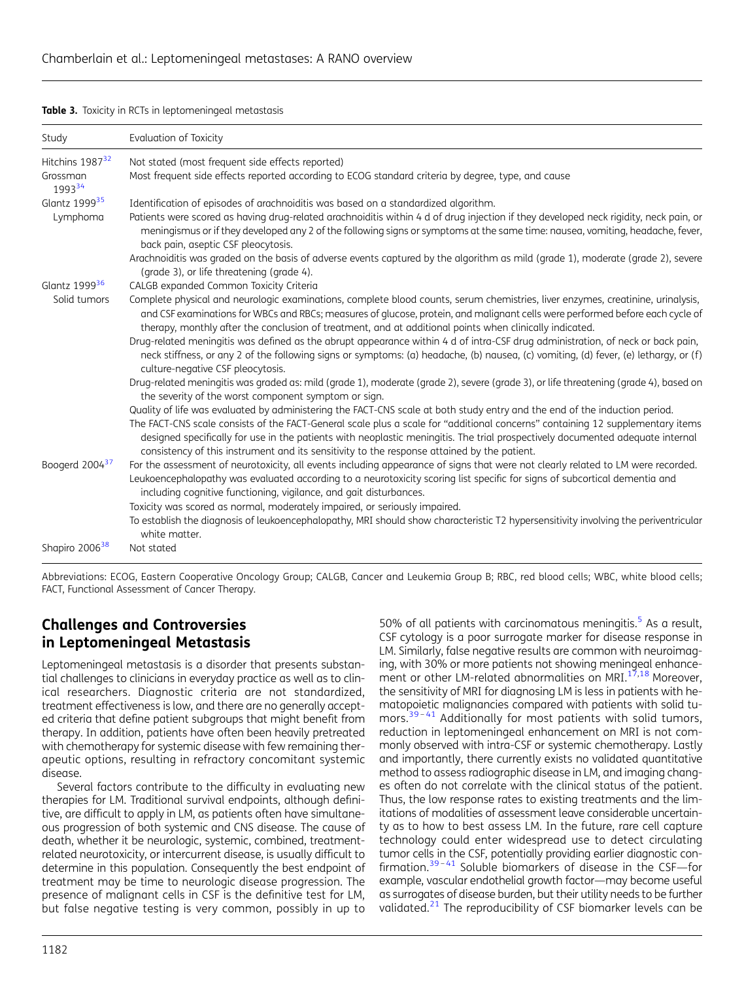<span id="page-6-0"></span>

| Table 3. Toxicity in RCTs in leptomeningeal metastasis |  |
|--------------------------------------------------------|--|
|--------------------------------------------------------|--|

| Study                       | <b>Evaluation of Toxicity</b>                                                                                                                                                                                                                                                                                                                                               |  |  |  |  |  |
|-----------------------------|-----------------------------------------------------------------------------------------------------------------------------------------------------------------------------------------------------------------------------------------------------------------------------------------------------------------------------------------------------------------------------|--|--|--|--|--|
| Hitchins 1987 <sup>32</sup> | Not stated (most frequent side effects reported)                                                                                                                                                                                                                                                                                                                            |  |  |  |  |  |
| Grossman<br>199334          | Most frequent side effects reported according to ECOG standard criteria by degree, type, and cause                                                                                                                                                                                                                                                                          |  |  |  |  |  |
| Glantz 1999 <sup>35</sup>   | Identification of episodes of arachnoiditis was based on a standardized algorithm.                                                                                                                                                                                                                                                                                          |  |  |  |  |  |
| Lymphoma                    | Patients were scored as having drug-related arachnoiditis within 4 d of drug injection if they developed neck rigidity, neck pain, or<br>meningismus or if they developed any 2 of the following signs or symptoms at the same time: nausea, vomiting, headache, fever,<br>back pain, aseptic CSF pleocytosis.                                                              |  |  |  |  |  |
|                             | Arachnoiditis was graded on the basis of adverse events captured by the algorithm as mild (grade 1), moderate (grade 2), severe<br>(grade 3), or life threatening (grade 4).                                                                                                                                                                                                |  |  |  |  |  |
| Glantz 1999 <sup>36</sup>   | CALGB expanded Common Toxicity Criteria                                                                                                                                                                                                                                                                                                                                     |  |  |  |  |  |
| Solid tumors                | Complete physical and neurologic examinations, complete blood counts, serum chemistries, liver enzymes, creatinine, urinalysis,<br>and CSF examinations for WBCs and RBCs; measures of glucose, protein, and malignant cells were performed before each cycle of<br>therapy, monthly after the conclusion of treatment, and at additional points when clinically indicated. |  |  |  |  |  |
|                             | Drug-related meningitis was defined as the abrupt appearance within 4 d of intra-CSF drug administration, of neck or back pain,<br>neck stiffness, or any 2 of the following signs or symptoms: (a) headache, (b) nausea, (c) vomiting, (d) fever, (e) lethargy, or (f)<br>culture-negative CSF pleocytosis.                                                                |  |  |  |  |  |
|                             | Drug-related meningitis was graded as: mild (grade 1), moderate (grade 2), severe (grade 3), or life threatening (grade 4), based on<br>the severity of the worst component symptom or sign.                                                                                                                                                                                |  |  |  |  |  |
|                             | Quality of life was evaluated by administering the FACT-CNS scale at both study entry and the end of the induction period.                                                                                                                                                                                                                                                  |  |  |  |  |  |
|                             | The FACT-CNS scale consists of the FACT-General scale plus a scale for "additional concerns" containing 12 supplementary items<br>designed specifically for use in the patients with neoplastic meningitis. The trial prospectively documented adequate internal<br>consistency of this instrument and its sensitivity to the response attained by the patient.             |  |  |  |  |  |
| Boogerd 2004 <sup>37</sup>  | For the assessment of neurotoxicity, all events including appearance of signs that were not clearly related to LM were recorded.                                                                                                                                                                                                                                            |  |  |  |  |  |
|                             | Leukoencephalopathy was evaluated according to a neurotoxicity scoring list specific for signs of subcortical dementia and<br>including cognitive functioning, vigilance, and gait disturbances.                                                                                                                                                                            |  |  |  |  |  |
|                             | Toxicity was scored as normal, moderately impaired, or seriously impaired.                                                                                                                                                                                                                                                                                                  |  |  |  |  |  |
|                             | To establish the diagnosis of leukoencephalopathy, MRI should show characteristic T2 hypersensitivity involving the periventricular<br>white matter.                                                                                                                                                                                                                        |  |  |  |  |  |
| Shapiro 2006 <sup>38</sup>  | Not stated                                                                                                                                                                                                                                                                                                                                                                  |  |  |  |  |  |

Abbreviations: ECOG, Eastern Cooperative Oncology Group; CALGB, Cancer and Leukemia Group B; RBC, red blood cells; WBC, white blood cells; FACT, Functional Assessment of Cancer Therapy.

## Challenges and Controversies in Leptomeningeal Metastasis

Leptomeningeal metastasis is a disorder that presents substantial challenges to clinicians in everyday practice as well as to clinical researchers. Diagnostic criteria are not standardized, treatment effectiveness is low, and there are no generally accepted criteria that define patient subgroups that might benefit from therapy. In addition, patients have often been heavily pretreated with chemotherapy for systemic disease with few remaining therapeutic options, resulting in refractory concomitant systemic disease.

Several factors contribute to the difficulty in evaluating new therapies for LM. Traditional survival endpoints, although definitive, are difficult to apply in LM, as patients often have simultaneous progression of both systemic and CNS disease. The cause of death, whether it be neurologic, systemic, combined, treatmentrelated neurotoxicity, or intercurrent disease, is usually difficult to determine in this population. Consequently the best endpoint of treatment may be time to neurologic disease progression. The presence of malignant cells in CSF is the definitive test for LM, but false negative testing is very common, possibly in up to

[5](#page-8-0)0% of all patients with carcinomatous meningitis.<sup>5</sup> As a result, CSF cytology is a poor surrogate marker for disease response in LM. Similarly, false negative results are common with neuroimaging, with 30% or more patients not showing meningeal enhance-ment or other LM-related abnormalities on MRI.<sup>[17,18](#page-8-0)</sup> Moreover, the sensitivity of MRI for diagnosing LM is less in patients with hematopoietic malignancies compared with patients with solid tumors. $39 - 41$  $39 - 41$  $39 - 41$  Additionally for most patients with solid tumors, reduction in leptomeningeal enhancement on MRI is not commonly observed with intra-CSF or systemic chemotherapy. Lastly and importantly, there currently exists no validated quantitative method to assess radiographic disease in LM, and imaging changes often do not correlate with the clinical status of the patient. Thus, the low response rates to existing treatments and the limitations of modalities of assessment leave considerable uncertainty as to how to best assess LM. In the future, rare cell capture technology could enter widespread use to detect circulating tumor cells in the CSF, potentially providing earlier diagnostic confirmation. $39 - 41$  $39 - 41$  $39 - 41$  Soluble biomarkers of disease in the CSF-for example, vascular endothelial growth factor—may become useful as surrogates of disease burden, but their utility needs to be further validated.<sup>[21](#page-8-0)</sup> The reproducibility of CSF biomarker levels can be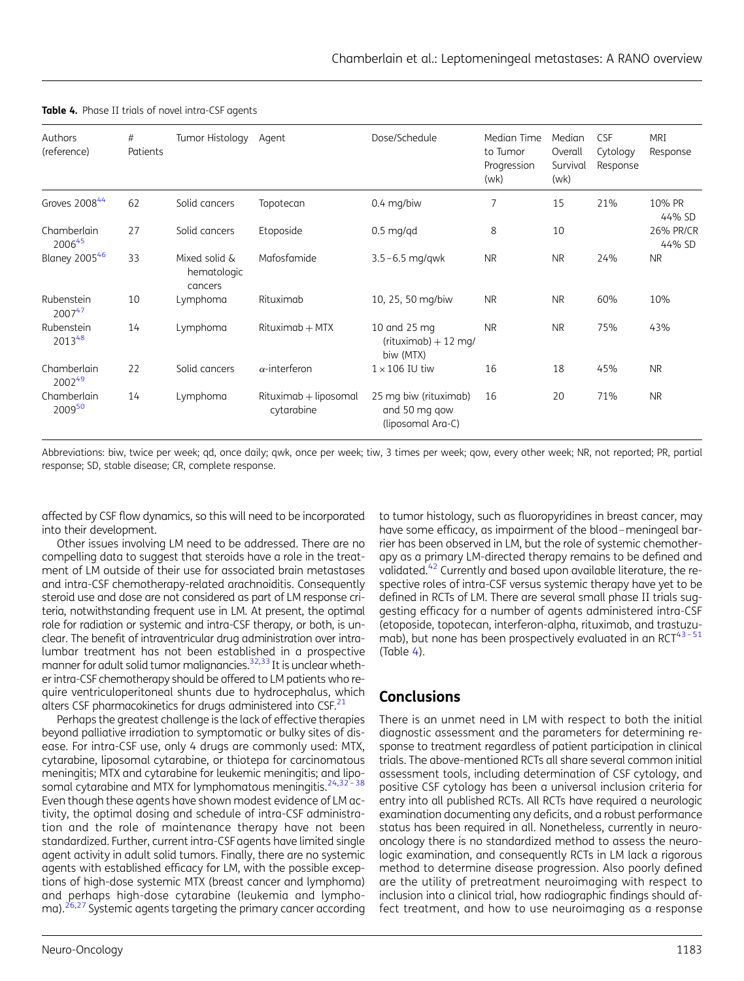| Authors<br>(reference)            | #<br>Patients | Tumor Histology                         | Agent                               | Dose/Schedule                                               | Median Time<br>to Tumor<br>Progression<br>(wk) | Median<br>Overall<br>Survival<br>(wk) | <b>CSF</b><br>Cytology<br>Response | MRI<br>Response            |
|-----------------------------------|---------------|-----------------------------------------|-------------------------------------|-------------------------------------------------------------|------------------------------------------------|---------------------------------------|------------------------------------|----------------------------|
| Groves 200844                     | 62            | Solid cancers                           | Topotecan                           | $0.4$ mg/biw                                                | 7                                              | 15                                    | 21%                                | 10% PR<br>44% SD           |
| Chamberlain<br>200645             | 27            | Solid cancers                           | Etoposide                           | $0.5$ mg/gd                                                 | 8                                              | 10                                    |                                    | <b>26% PR/CR</b><br>44% SD |
| Blaney 200546                     | 33            | Mixed solid &<br>hematologic<br>cancers | Mafosfamide                         | $3.5 - 6.5$ mg/gwk                                          | <b>NR</b>                                      | <b>NR</b>                             | 24%                                | <b>NR</b>                  |
| Rubenstein<br>200747              | 10            | Lymphoma                                | Rituximab                           | 10, 25, 50 mg/biw                                           | <b>NR</b>                                      | <b>NR</b>                             | 60%                                | 10%                        |
| Rubenstein<br>201348              | 14            | Lymphoma                                | $Rituximab + MTX$                   | 10 and 25 mg<br>$(rituximab) + 12$ mg/<br>biw (MTX)         | <b>NR</b>                                      | <b>NR</b>                             | 75%                                | 43%                        |
| Chamberlain<br>2002 <sup>49</sup> | 22            | Solid cancers                           | $\alpha$ -interferon                | $1 \times 106$ IU tiw                                       | 16                                             | 18                                    | 45%                                | <b>NR</b>                  |
| Chamberlain<br>2009 <sup>50</sup> | 14            | Lymphoma                                | Rituximab + liposomal<br>cytarabine | 25 mg biw (rituximab)<br>and 50 mg gow<br>(liposomal Ara-C) | 16                                             | 20                                    | 71%                                | <b>NR</b>                  |

#### Table 4. Phase II trials of novel intra-CSF agents

Abbreviations: biw, twice per week; qd, once daily; qwk, once per week; tiw, 3 times per week; qow, every other week; NR, not reported; PR, partial response; SD, stable disease; CR, complete response.

affected by CSF flow dynamics, so this will need to be incorporated into their development.

Other issues involving LM need to be addressed. There are no compelling data to suggest that steroids have a role in the treatment of LM outside of their use for associated brain metastases and intra-CSF chemotherapy-related arachnoiditis. Consequently steroid use and dose are not considered as part of LM response criteria, notwithstanding frequent use in LM. At present, the optimal role for radiation or systemic and intra-CSF therapy, or both, is unclear. The benefit of intraventricular drug administration over intralumbar treatment has not been established in a prospective manner for adult solid tumor malignancies.<sup>32,33</sup> It is unclear whether intra-CSF chemotherapy should be offered to LM patients who require ventriculoperitoneal shunts due to hydrocephalus, which alters CSF pharmacokinetics for drugs administered into  $CSE^{21}$  $CSE^{21}$  $CSE^{21}$ 

Perhaps the greatest challenge is the lack of effective therapies beyond palliative irradiation to symptomatic or bulky sites of disease. For intra-CSF use, only 4 drugs are commonly used: MTX, cytarabine, liposomal cytarabine, or thiotepa for carcinomatous meningitis; MTX and cytarabine for leukemic meningitis; and lipo-somal cytarabine and MTX for lymphomatous meningitis.<sup>[24](#page-8-0),[32](#page-8-0)-[38](#page-9-0)</sup> Even though these agents have shown modest evidence of LM activity, the optimal dosing and schedule of intra-CSF administration and the role of maintenance therapy have not been standardized. Further, current intra-CSF agents have limited single agent activity in adult solid tumors. Finally, there are no systemic agents with established efficacy for LM, with the possible exceptions of high-dose systemic MTX (breast cancer and lymphoma) and perhaps high-dose cytarabine (leukemia and lympho-ma).<sup>[26,27](#page-8-0)</sup> Systemic agents targeting the primary cancer according

to tumor histology, such as fluoropyridines in breast cancer, may have some efficacy, as impairment of the blood –meningeal barrier has been observed in LM, but the role of systemic chemotherapy as a primary LM-directed therapy remains to be defined and validated.<sup>[42](#page-9-0)</sup> Currently and based upon available literature, the respective roles of intra-CSF versus systemic therapy have yet to be defined in RCTs of LM. There are several small phase II trials suggesting efficacy for a number of agents administered intra-CSF (etoposide, topotecan, interferon-alpha, rituximab, and trastuzumab), but none has been prospectively evaluated in an  $RCT^{43-51}$  $RCT^{43-51}$  $RCT^{43-51}$ (Table 4).

## Conclusions

There is an unmet need in LM with respect to both the initial diagnostic assessment and the parameters for determining response to treatment regardless of patient participation in clinical trials. The above-mentioned RCTs all share several common initial assessment tools, including determination of CSF cytology, and positive CSF cytology has been a universal inclusion criteria for entry into all published RCTs. All RCTs have required a neurologic examination documenting any deficits, and a robust performance status has been required in all. Nonetheless, currently in neurooncology there is no standardized method to assess the neurologic examination, and consequently RCTs in LM lack a rigorous method to determine disease progression. Also poorly defined are the utility of pretreatment neuroimaging with respect to inclusion into a clinical trial, how radiographic findings should affect treatment, and how to use neuroimaging as a response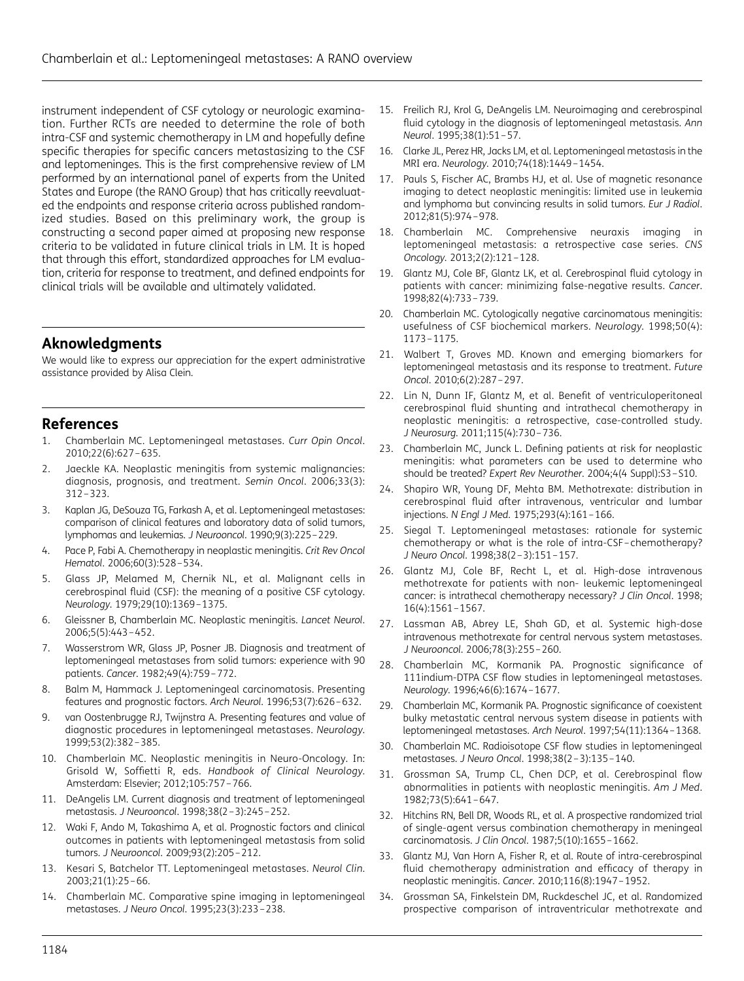<span id="page-8-0"></span>instrument independent of CSF cytology or neurologic examination. Further RCTs are needed to determine the role of both intra-CSF and systemic chemotherapy in LM and hopefully define specific therapies for specific cancers metastasizing to the CSF and leptomeninges. This is the first comprehensive review of LM performed by an international panel of experts from the United States and Europe (the RANO Group) that has critically reevaluated the endpoints and response criteria across published randomized studies. Based on this preliminary work, the group is constructing a second paper aimed at proposing new response criteria to be validated in future clinical trials in LM. It is hoped that through this effort, standardized approaches for LM evaluation, criteria for response to treatment, and defined endpoints for clinical trials will be available and ultimately validated.

#### Aknowledgments

We would like to express our appreciation for the expert administrative assistance provided by Alisa Clein.

#### References

- 1. Chamberlain MC. Leptomeningeal metastases. Curr Opin Oncol. 2010;22(6):627–635.
- 2. Jaeckle KA. Neoplastic meningitis from systemic malignancies: diagnosis, prognosis, and treatment. Semin Oncol. 2006;33(3): 312–323.
- 3. Kaplan JG, DeSouza TG, Farkash A, et al. Leptomeningeal metastases: comparison of clinical features and laboratory data of solid tumors, lymphomas and leukemias. J Neurooncol. 1990;9(3):225–229.
- 4. Pace P, Fabi A. Chemotherapy in neoplastic meningitis. Crit Rev Oncol Hematol. 2006;60(3):528–534.
- 5. Glass JP, Melamed M, Chernik NL, et al. Malignant cells in cerebrospinal fluid (CSF): the meaning of a positive CSF cytology. Neurology. 1979;29(10):1369–1375.
- 6. Gleissner B, Chamberlain MC. Neoplastic meningitis. Lancet Neurol. 2006;5(5):443 –452.
- 7. Wasserstrom WR, Glass JP, Posner JB. Diagnosis and treatment of leptomeningeal metastases from solid tumors: experience with 90 patients. Cancer. 1982;49(4):759–772.
- 8. Balm M, Hammack J. Leptomeningeal carcinomatosis. Presenting features and prognostic factors. Arch Neurol. 1996;53(7):626–632.
- 9. van Oostenbrugge RJ, Twijnstra A. Presenting features and value of diagnostic procedures in leptomeningeal metastases. Neurology. 1999;53(2):382–385.
- 10. Chamberlain MC. Neoplastic meningitis in Neuro-Oncology. In: Grisold W, Soffietti R, eds. Handbook of Clinical Neurology. Amsterdam: Elsevier; 2012;105:757–766.
- 11. DeAngelis LM. Current diagnosis and treatment of leptomeningeal metastasis. J Neurooncol. 1998;38(2–3):245–252.
- 12. Waki F, Ando M, Takashima A, et al. Prognostic factors and clinical outcomes in patients with leptomeningeal metastasis from solid tumors. J Neurooncol. 2009;93(2):205–212.
- 13. Kesari S, Batchelor TT. Leptomeningeal metastases. Neurol Clin. 2003;21(1):25–66.
- 14. Chamberlain MC. Comparative spine imaging in leptomeningeal metastases. J Neuro Oncol. 1995;23(3):233 –238.
- 15. Freilich RJ, Krol G, DeAngelis LM. Neuroimaging and cerebrospinal fluid cytology in the diagnosis of leptomeningeal metastasis. Ann Neurol. 1995;38(1):51–57.
- 16. Clarke JL, Perez HR, Jacks LM, et al. Leptomeningeal metastasis in the MRI era. Neurology. 2010;74(18):1449 –1454.
- 17. Pauls S, Fischer AC, Brambs HJ, et al. Use of magnetic resonance imaging to detect neoplastic meningitis: limited use in leukemia and lymphoma but convincing results in solid tumors. Eur J Radiol. 2012;81(5):974 –978.
- 18. Chamberlain MC. Comprehensive neuraxis imaging in leptomeningeal metastasis: a retrospective case series. CNS Oncology. 2013;2(2):121–128.
- 19. Glantz MJ, Cole BF, Glantz LK, et al. Cerebrospinal fluid cytology in patients with cancer: minimizing false-negative results. Cancer. 1998;82(4):733–739.
- 20. Chamberlain MC. Cytologically negative carcinomatous meningitis: usefulness of CSF biochemical markers. Neurology. 1998;50(4): 1173 –1175.
- 21. Walbert T, Groves MD. Known and emerging biomarkers for leptomeningeal metastasis and its response to treatment. Future Oncol. 2010;6(2):287 –297.
- 22. Lin N, Dunn IF, Glantz M, et al. Benefit of ventriculoperitoneal cerebrospinal fluid shunting and intrathecal chemotherapy in neoplastic meningitis: a retrospective, case-controlled study. J Neurosurg. 2011;115(4):730 –736.
- 23. Chamberlain MC, Junck L. Defining patients at risk for neoplastic meningitis: what parameters can be used to determine who should be treated? Expert Rev Neurother. 2004;4(4 Suppl):S3 – S10.
- 24. Shapiro WR, Young DF, Mehta BM. Methotrexate: distribution in cerebrospinal fluid after intravenous, ventricular and lumbar injections. N Engl J Med. 1975;293(4):161–166.
- 25. Siegal T. Leptomeningeal metastases: rationale for systemic chemotherapy or what is the role of intra-CSF – chemotherapy? J Neuro Oncol. 1998;38(2 –3):151–157.
- 26. Glantz MJ, Cole BF, Recht L, et al. High-dose intravenous methotrexate for patients with non- leukemic leptomeningeal cancer: is intrathecal chemotherapy necessary? J Clin Oncol. 1998; 16(4):1561 –1567.
- 27. Lassman AB, Abrey LE, Shah GD, et al. Systemic high-dose intravenous methotrexate for central nervous system metastases. J Neurooncol. 2006;78(3):255–260.
- 28. Chamberlain MC, Kormanik PA. Prognostic significance of 111indium-DTPA CSF flow studies in leptomeningeal metastases. Neurology. 1996;46(6):1674–1677.
- 29. Chamberlain MC, Kormanik PA. Prognostic significance of coexistent bulky metastatic central nervous system disease in patients with leptomeningeal metastases. Arch Neurol. 1997;54(11):1364 –1368.
- 30. Chamberlain MC. Radioisotope CSF flow studies in leptomeningeal metastases. J Neuro Oncol. 1998;38(2 –3):135–140.
- 31. Grossman SA, Trump CL, Chen DCP, et al. Cerebrospinal flow abnormalities in patients with neoplastic meningitis. Am J Med. 1982;73(5):641–647.
- 32. Hitchins RN, Bell DR, Woods RL, et al. A prospective randomized trial of single-agent versus combination chemotherapy in meningeal carcinomatosis. J Clin Oncol. 1987;5(10):1655–1662.
- 33. Glantz MJ, Van Horn A, Fisher R, et al. Route of intra-cerebrospinal fluid chemotherapy administration and efficacy of therapy in neoplastic meningitis. Cancer. 2010;116(8):1947–1952.
- 34. Grossman SA, Finkelstein DM, Ruckdeschel JC, et al. Randomized prospective comparison of intraventricular methotrexate and